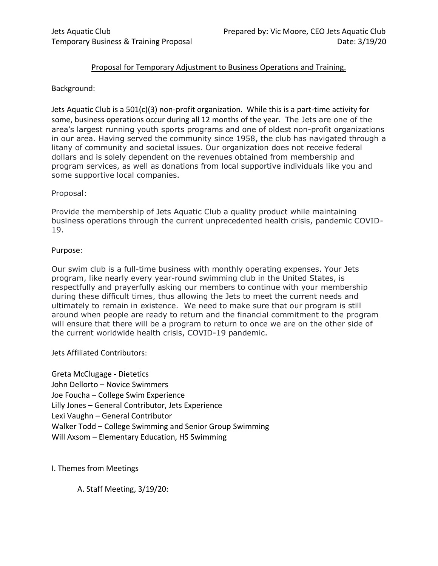# Proposal for Temporary Adjustment to Business Operations and Training.

# Background:

Jets Aquatic Club is a 501(c)(3) non-profit organization. While this is a part-time activity for some, business operations occur during all 12 months of the year. The Jets are one of the area's largest running youth sports programs and one of oldest non-profit organizations in our area. Having served the community since 1958, the club has navigated through a litany of community and societal issues. Our organization does not receive federal dollars and is solely dependent on the revenues obtained from membership and program services, as well as donations from local supportive individuals like you and some supportive local companies.

## Proposal:

Provide the membership of Jets Aquatic Club a quality product while maintaining business operations through the current unprecedented health crisis, pandemic COVID-19.

### Purpose:

Our swim club is a full-time business with monthly operating expenses. Your Jets program, like nearly every year-round swimming club in the United States, is respectfully and prayerfully asking our members to continue with your membership during these difficult times, thus allowing the Jets to meet the current needs and ultimately to remain in existence. We need to make sure that our program is still around when people are ready to return and the financial commitment to the program will ensure that there will be a program to return to once we are on the other side of the current worldwide health crisis, COVID-19 pandemic.

Jets Affiliated Contributors:

Greta McClugage - Dietetics John Dellorto – Novice Swimmers Joe Foucha – College Swim Experience Lilly Jones – General Contributor, Jets Experience Lexi Vaughn – General Contributor Walker Todd – College Swimming and Senior Group Swimming Will Axsom – Elementary Education, HS Swimming

I. Themes from Meetings

A. Staff Meeting, 3/19/20: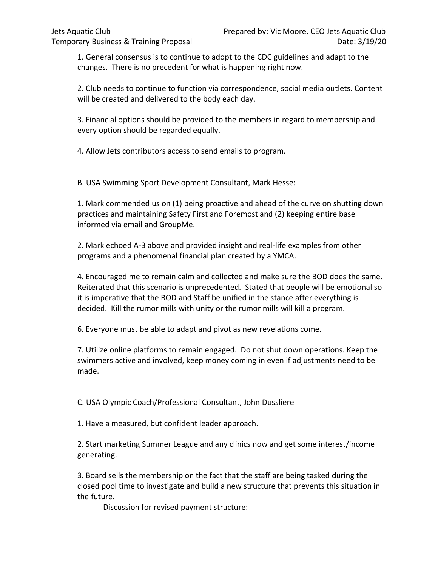1. General consensus is to continue to adopt to the CDC guidelines and adapt to the changes. There is no precedent for what is happening right now.

2. Club needs to continue to function via correspondence, social media outlets. Content will be created and delivered to the body each day.

3. Financial options should be provided to the members in regard to membership and every option should be regarded equally.

4. Allow Jets contributors access to send emails to program.

B. USA Swimming Sport Development Consultant, Mark Hesse:

1. Mark commended us on (1) being proactive and ahead of the curve on shutting down practices and maintaining Safety First and Foremost and (2) keeping entire base informed via email and GroupMe.

2. Mark echoed A-3 above and provided insight and real-life examples from other programs and a phenomenal financial plan created by a YMCA.

4. Encouraged me to remain calm and collected and make sure the BOD does the same. Reiterated that this scenario is unprecedented. Stated that people will be emotional so it is imperative that the BOD and Staff be unified in the stance after everything is decided. Kill the rumor mills with unity or the rumor mills will kill a program.

6. Everyone must be able to adapt and pivot as new revelations come.

7. Utilize online platforms to remain engaged. Do not shut down operations. Keep the swimmers active and involved, keep money coming in even if adjustments need to be made.

C. USA Olympic Coach/Professional Consultant, John Dussliere

1. Have a measured, but confident leader approach.

2. Start marketing Summer League and any clinics now and get some interest/income generating.

3. Board sells the membership on the fact that the staff are being tasked during the closed pool time to investigate and build a new structure that prevents this situation in the future.

Discussion for revised payment structure: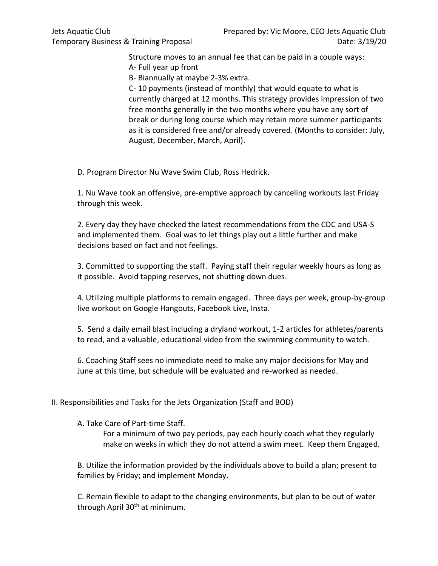Structure moves to an annual fee that can be paid in a couple ways: A- Full year up front

B- Biannually at maybe 2-3% extra.

C- 10 payments (instead of monthly) that would equate to what is currently charged at 12 months. This strategy provides impression of two free months generally in the two months where you have any sort of break or during long course which may retain more summer participants as it is considered free and/or already covered. (Months to consider: July, August, December, March, April).

D. Program Director Nu Wave Swim Club, Ross Hedrick.

1. Nu Wave took an offensive, pre-emptive approach by canceling workouts last Friday through this week.

2. Every day they have checked the latest recommendations from the CDC and USA-S and implemented them. Goal was to let things play out a little further and make decisions based on fact and not feelings.

3. Committed to supporting the staff. Paying staff their regular weekly hours as long as it possible. Avoid tapping reserves, not shutting down dues.

4. Utilizing multiple platforms to remain engaged. Three days per week, group-by-group live workout on Google Hangouts, Facebook Live, Insta.

5. Send a daily email blast including a dryland workout, 1-2 articles for athletes/parents to read, and a valuable, educational video from the swimming community to watch.

6. Coaching Staff sees no immediate need to make any major decisions for May and June at this time, but schedule will be evaluated and re-worked as needed.

II. Responsibilities and Tasks for the Jets Organization (Staff and BOD)

A. Take Care of Part-time Staff.

For a minimum of two pay periods, pay each hourly coach what they regularly make on weeks in which they do not attend a swim meet. Keep them Engaged.

B. Utilize the information provided by the individuals above to build a plan; present to families by Friday; and implement Monday.

C. Remain flexible to adapt to the changing environments, but plan to be out of water through April 30<sup>th</sup> at minimum.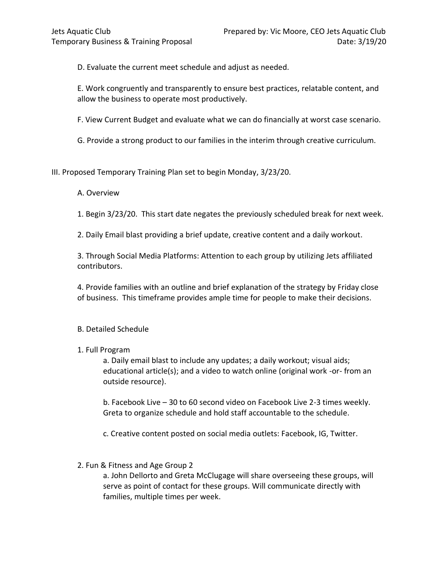D. Evaluate the current meet schedule and adjust as needed.

E. Work congruently and transparently to ensure best practices, relatable content, and allow the business to operate most productively.

F. View Current Budget and evaluate what we can do financially at worst case scenario.

G. Provide a strong product to our families in the interim through creative curriculum.

III. Proposed Temporary Training Plan set to begin Monday, 3/23/20.

#### A. Overview

1. Begin 3/23/20. This start date negates the previously scheduled break for next week.

2. Daily Email blast providing a brief update, creative content and a daily workout.

3. Through Social Media Platforms: Attention to each group by utilizing Jets affiliated contributors.

4. Provide families with an outline and brief explanation of the strategy by Friday close of business. This timeframe provides ample time for people to make their decisions.

#### B. Detailed Schedule

#### 1. Full Program

a. Daily email blast to include any updates; a daily workout; visual aids; educational article(s); and a video to watch online (original work -or- from an outside resource).

b. Facebook Live – 30 to 60 second video on Facebook Live 2-3 times weekly. Greta to organize schedule and hold staff accountable to the schedule.

c. Creative content posted on social media outlets: Facebook, IG, Twitter.

#### 2. Fun & Fitness and Age Group 2

a. John Dellorto and Greta McClugage will share overseeing these groups, will serve as point of contact for these groups. Will communicate directly with families, multiple times per week.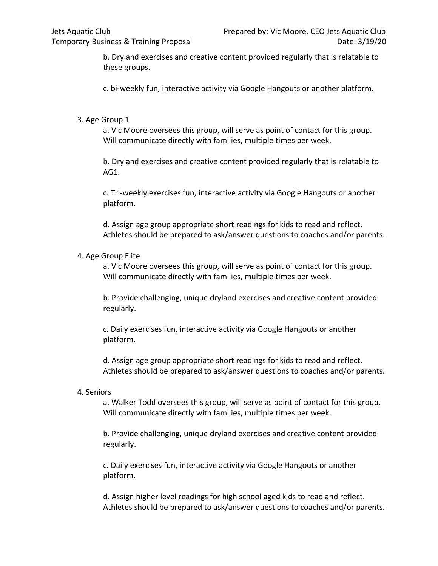b. Dryland exercises and creative content provided regularly that is relatable to these groups.

c. bi-weekly fun, interactive activity via Google Hangouts or another platform.

## 3. Age Group 1

a. Vic Moore oversees this group, will serve as point of contact for this group. Will communicate directly with families, multiple times per week.

b. Dryland exercises and creative content provided regularly that is relatable to AG1.

c. Tri-weekly exercises fun, interactive activity via Google Hangouts or another platform.

d. Assign age group appropriate short readings for kids to read and reflect. Athletes should be prepared to ask/answer questions to coaches and/or parents.

## 4. Age Group Elite

a. Vic Moore oversees this group, will serve as point of contact for this group. Will communicate directly with families, multiple times per week.

b. Provide challenging, unique dryland exercises and creative content provided regularly.

c. Daily exercises fun, interactive activity via Google Hangouts or another platform.

d. Assign age group appropriate short readings for kids to read and reflect. Athletes should be prepared to ask/answer questions to coaches and/or parents.

#### 4. Seniors

a. Walker Todd oversees this group, will serve as point of contact for this group. Will communicate directly with families, multiple times per week.

b. Provide challenging, unique dryland exercises and creative content provided regularly.

c. Daily exercises fun, interactive activity via Google Hangouts or another platform.

d. Assign higher level readings for high school aged kids to read and reflect. Athletes should be prepared to ask/answer questions to coaches and/or parents.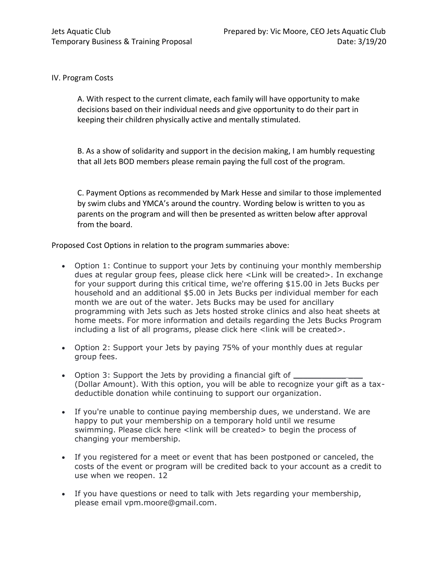## IV. Program Costs

A. With respect to the current climate, each family will have opportunity to make decisions based on their individual needs and give opportunity to do their part in keeping their children physically active and mentally stimulated.

B. As a show of solidarity and support in the decision making, I am humbly requesting that all Jets BOD members please remain paying the full cost of the program.

C. Payment Options as recommended by Mark Hesse and similar to those implemented by swim clubs and YMCA's around the country. Wording below is written to you as parents on the program and will then be presented as written below after approval from the board.

Proposed Cost Options in relation to the program summaries above:

- Option 1: Continue to support your Jets by continuing your monthly membership dues at regular group fees, please click here <Link will be created>. In exchange for your support during this critical time, we're offering \$15.00 in Jets Bucks per household and an additional \$5.00 in Jets Bucks per individual member for each month we are out of the water. Jets Bucks may be used for ancillary programming with Jets such as Jets hosted stroke clinics and also heat sheets at home meets. For more information and details regarding the Jets Bucks Program including a list of all programs, please click here <link will be created>.
- Option 2: Support your Jets by paying 75% of your monthly dues at regular group fees.
- Option 3: Support the Jets by providing a financial gift of  $\equiv$ (Dollar Amount). With this option, you will be able to recognize your gift as a taxdeductible donation while continuing to support our organization.
- If you're unable to continue paying membership dues, we understand. We are happy to put your membership on a temporary hold until we resume swimming. Please click here <link will be created> to begin the process of changing your membership.
- If you registered for a meet or event that has been postponed or canceled, the costs of the event or program will be credited back to your account as a credit to use when we reopen. 12
- If you have questions or need to talk with Jets regarding your membership, please email vpm.moore@gmail.com.